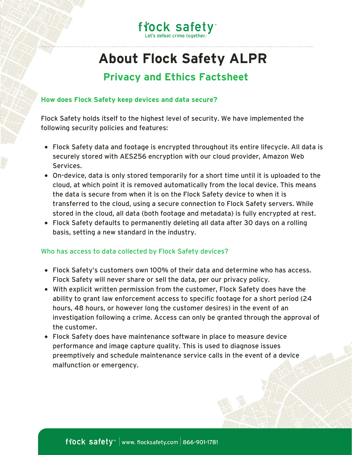

## **About Flock Safety ALPR Privacy and Ethics Factsheet**

### **How does Flock Safety keep devices and data secure?**

Flock Safety holds itself to the highest level of security. We have implemented the following security policies and features:

- Flock Safety data and footage is encrypted throughout its entire lifecycle. All data is securely stored with AES256 encryption with our cloud provider, Amazon Web Services.
- On-device, data is only stored temporarily for a short time until it is uploaded to the cloud, at which point it is removed automatically from the local device. This means the data is secure from when it is on the Flock Safety device to when it is transferred to the cloud, using a secure connection to Flock Safety servers. While stored in the cloud, all data (both footage and metadata) is fully encrypted at rest.
- Flock Safety defaults to permanently deleting all data after 30 days on a rolling basis, setting a new standard in the industry.

#### Who has access to data collected by Flock Safety devices?

- Flock Safety's customers own [100%](https://www.flocksafety.com/blog/how-flock-safety-protects-resident-privacy) of their data and determine who has access. Flock Safety will never share or sell the data, per our privacy policy.
- With explicit written permission from the customer, Flock Safety does have the ability to grant law enforcement access to specific footage for a short period (24 hours, 48 hours, or however long the customer desires) in the event of an investigation following a crime. Access can only be granted through the approval of the customer.
- Flock Safety does have maintenance software in place to measure device performance and image capture quality. This is used to diagnose issues preemptively and schedule maintenance service calls in the event of a device malfunction or emergency.